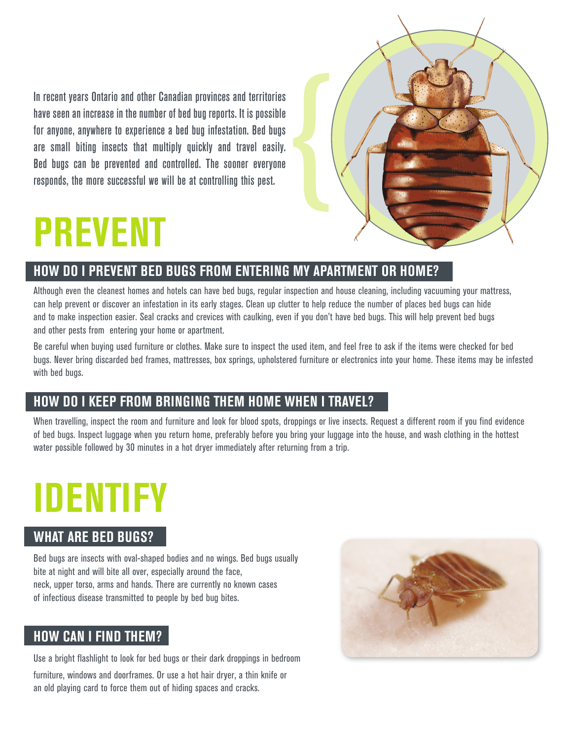In recent years Ontario and other Canadian provinces and territories have seen an increase in the number of bed bug reports. It is possible for anyone, anywhere to experience a bed bug infestation. Bed bugs are small biting insects that multiply quickly and travel easily. Bed bugs can be prevented and controlled. The sooner everyone responds, the more successful we will be at controlling this pest.



# **PREVENT**

## **How do I PREVENT BEd BugS FRom ENTERINg my APARTmENT oR HomE?**

Although even the cleanest homes and hotels can have bed bugs, regular inspection and house cleaning, including vacuuming your mattress, can help prevent or discover an infestation in its early stages. Clean up clutter to help reduce the number of places bed bugs can hide and to make inspection easier. Seal cracks and crevices with caulking, even if you don't have bed bugs. This will help prevent bed bugs and other pests from entering your home or apartment.

Be careful when buying used furniture or clothes. Make sure to inspect the used item, and feel free to ask if the items were checked for bed bugs. Never bring discarded bed frames, mattresses, box springs, upholstered furniture or electronics into your home. These items may be infested with bed bugs.

### **How do I kEEP FRom BRINgINg THEm HomE wHEN I TRAVEl?**

When travelling, inspect the room and furniture and look for blood spots, droppings or live insects. Request a different room if you find evidence of bed bugs. Inspect luggage when you return home, preferably before you bring your luggage into the house, and wash clothing in the hottest water possible followed by 30 minutes in a hot dryer immediately after returning from a trip.

# **IdENTIFy**

### **wHAT ARE BEd BugS?**

Bed bugs are insects with oval-shaped bodies and no wings. Bed bugs usually bite at night and will bite all over, especially around the face, neck, upper torso, arms and hands. There are currently no known cases of infectious disease transmitted to people by bed bug bites.

### **How CAN I FINd THEm?**

Use a bright flashlight to look for bed bugs or their dark droppings in bedroom furniture, windows and doorframes. Or use a hot hair dryer, a thin knife or an old playing card to force them out of hiding spaces and cracks.